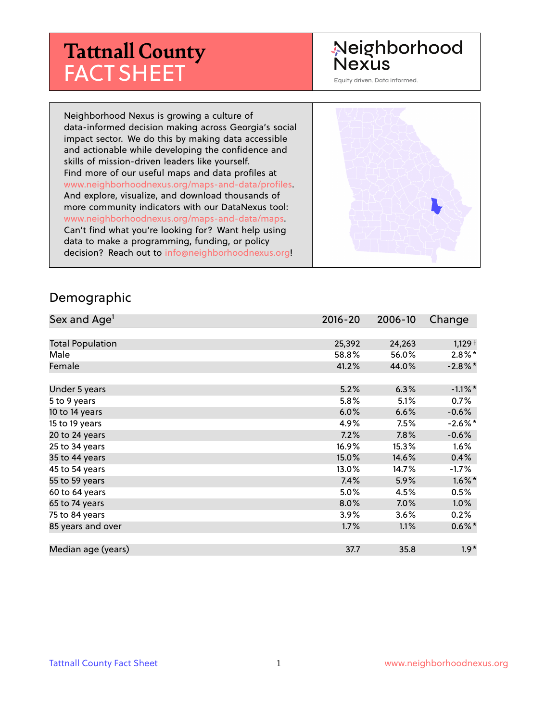## **Tattnall County** FACT SHEET

#### Neighborhood **Nexus**

Equity driven. Data informed.

Neighborhood Nexus is growing a culture of data-informed decision making across Georgia's social impact sector. We do this by making data accessible and actionable while developing the confidence and skills of mission-driven leaders like yourself. Find more of our useful maps and data profiles at www.neighborhoodnexus.org/maps-and-data/profiles. And explore, visualize, and download thousands of more community indicators with our DataNexus tool: www.neighborhoodnexus.org/maps-and-data/maps. Can't find what you're looking for? Want help using data to make a programming, funding, or policy decision? Reach out to [info@neighborhoodnexus.org!](mailto:info@neighborhoodnexus.org)



#### Demographic

| Sex and Age <sup>1</sup> | $2016 - 20$ | 2006-10 | Change               |
|--------------------------|-------------|---------|----------------------|
|                          |             |         |                      |
| <b>Total Population</b>  | 25,392      | 24,263  | $1,129$ <sup>+</sup> |
| Male                     | 58.8%       | 56.0%   | $2.8\%$ *            |
| Female                   | 41.2%       | 44.0%   | $-2.8\%$ *           |
|                          |             |         |                      |
| Under 5 years            | 5.2%        | 6.3%    | $-1.1\%$ *           |
| 5 to 9 years             | 5.8%        | 5.1%    | $0.7\%$              |
| 10 to 14 years           | 6.0%        | 6.6%    | $-0.6%$              |
| 15 to 19 years           | 4.9%        | 7.5%    | $-2.6\%$ *           |
| 20 to 24 years           | 7.2%        | 7.8%    | $-0.6%$              |
| 25 to 34 years           | 16.9%       | 15.3%   | 1.6%                 |
| 35 to 44 years           | 15.0%       | 14.6%   | 0.4%                 |
| 45 to 54 years           | 13.0%       | 14.7%   | $-1.7\%$             |
| 55 to 59 years           | 7.4%        | 5.9%    | $1.6\%$ *            |
| 60 to 64 years           | 5.0%        | 4.5%    | 0.5%                 |
| 65 to 74 years           | 8.0%        | 7.0%    | $1.0\%$              |
| 75 to 84 years           | 3.9%        | 3.6%    | 0.2%                 |
| 85 years and over        | 1.7%        | 1.1%    | $0.6\%$ *            |
|                          |             |         |                      |
| Median age (years)       | 37.7        | 35.8    | $1.9*$               |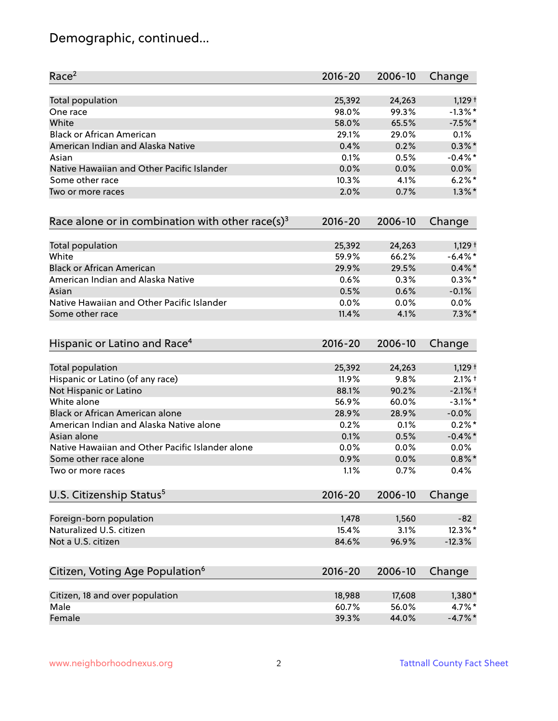### Demographic, continued...

| Race <sup>2</sup>                                   | $2016 - 20$ | 2006-10 | Change               |
|-----------------------------------------------------|-------------|---------|----------------------|
| <b>Total population</b>                             | 25,392      | 24,263  | $1,129$ <sup>+</sup> |
| One race                                            | 98.0%       | 99.3%   | $-1.3\%$ *           |
| White                                               | 58.0%       | 65.5%   | $-7.5%$ *            |
| <b>Black or African American</b>                    | 29.1%       | 29.0%   | 0.1%                 |
| American Indian and Alaska Native                   | 0.4%        | 0.2%    | $0.3\%$ *            |
| Asian                                               | 0.1%        | 0.5%    | $-0.4\%$ *           |
| Native Hawaiian and Other Pacific Islander          | 0.0%        | 0.0%    | 0.0%                 |
| Some other race                                     | 10.3%       | 4.1%    | $6.2%$ *             |
| Two or more races                                   | 2.0%        | 0.7%    | $1.3\%$ *            |
| Race alone or in combination with other race(s) $3$ | $2016 - 20$ | 2006-10 | Change               |
| Total population                                    | 25,392      | 24,263  | $1,129$ <sup>+</sup> |
| White                                               | 59.9%       | 66.2%   | $-6.4\%$ *           |
| <b>Black or African American</b>                    | 29.9%       | 29.5%   | $0.4\%$ *            |
| American Indian and Alaska Native                   | 0.6%        | 0.3%    | $0.3\%$ *            |
| Asian                                               | 0.5%        | 0.6%    | $-0.1%$              |
| Native Hawaiian and Other Pacific Islander          | 0.0%        | 0.0%    | 0.0%                 |
| Some other race                                     | 11.4%       | 4.1%    | $7.3\%$ *            |
| Hispanic or Latino and Race <sup>4</sup>            | $2016 - 20$ | 2006-10 | Change               |
| <b>Total population</b>                             | 25,392      | 24,263  | $1,129$ <sup>+</sup> |
| Hispanic or Latino (of any race)                    | 11.9%       | 9.8%    | $2.1%$ †             |
| Not Hispanic or Latino                              | 88.1%       | 90.2%   | $-2.1%$ +            |
| White alone                                         | 56.9%       | 60.0%   | $-3.1\%$ *           |
| Black or African American alone                     | 28.9%       | 28.9%   | $-0.0%$              |
| American Indian and Alaska Native alone             | 0.2%        | 0.1%    | $0.2\%$ *            |
| Asian alone                                         | 0.1%        | 0.5%    | $-0.4\%$ *           |
| Native Hawaiian and Other Pacific Islander alone    | 0.0%        | 0.0%    | $0.0\%$              |
| Some other race alone                               | 0.9%        | 0.0%    | $0.8\%$ *            |
| Two or more races                                   | 1.1%        | 0.7%    | 0.4%                 |
| U.S. Citizenship Status <sup>5</sup>                | $2016 - 20$ | 2006-10 | Change               |
| Foreign-born population                             | 1,478       | 1,560   | $-82$                |
| Naturalized U.S. citizen                            | 15.4%       | 3.1%    | 12.3%*               |
| Not a U.S. citizen                                  | 84.6%       | 96.9%   | $-12.3%$             |
| Citizen, Voting Age Population <sup>6</sup>         | $2016 - 20$ | 2006-10 |                      |
|                                                     |             |         | Change               |
| Citizen, 18 and over population                     | 18,988      | 17,608  | 1,380*               |
| Male                                                | 60.7%       | 56.0%   | 4.7%*                |
| Female                                              | 39.3%       | 44.0%   | $-4.7\%$ *           |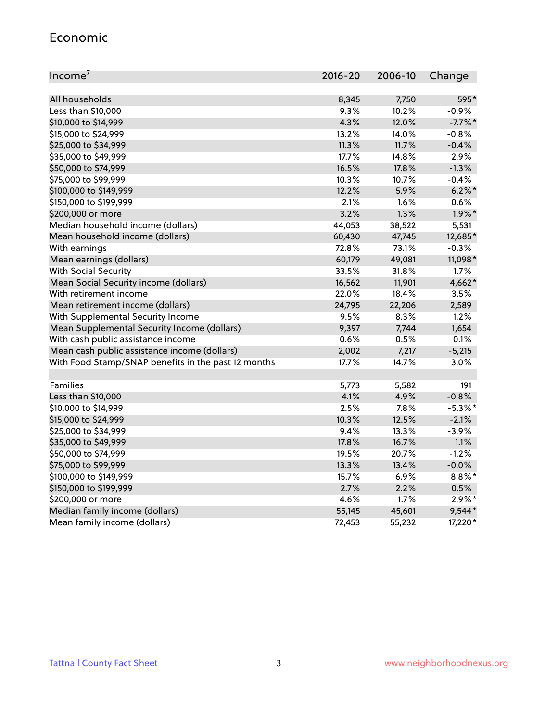#### Economic

| Income <sup>7</sup>                                 | $2016 - 20$ | 2006-10 | Change     |
|-----------------------------------------------------|-------------|---------|------------|
|                                                     |             |         |            |
| All households                                      | 8,345       | 7,750   | 595*       |
| Less than \$10,000                                  | 9.3%        | 10.2%   | $-0.9%$    |
| \$10,000 to \$14,999                                | 4.3%        | 12.0%   | $-7.7%$ *  |
| \$15,000 to \$24,999                                | 13.2%       | 14.0%   | $-0.8%$    |
| \$25,000 to \$34,999                                | 11.3%       | 11.7%   | $-0.4%$    |
| \$35,000 to \$49,999                                | 17.7%       | 14.8%   | 2.9%       |
| \$50,000 to \$74,999                                | 16.5%       | 17.8%   | $-1.3%$    |
| \$75,000 to \$99,999                                | 10.3%       | 10.7%   | $-0.4%$    |
| \$100,000 to \$149,999                              | 12.2%       | 5.9%    | $6.2\%$ *  |
| \$150,000 to \$199,999                              | 2.1%        | 1.6%    | 0.6%       |
| \$200,000 or more                                   | 3.2%        | 1.3%    | $1.9\%$ *  |
| Median household income (dollars)                   | 44,053      | 38,522  | 5,531      |
| Mean household income (dollars)                     | 60,430      | 47,745  | 12,685*    |
| With earnings                                       | 72.8%       | 73.1%   | $-0.3%$    |
| Mean earnings (dollars)                             | 60,179      | 49,081  | 11,098*    |
| <b>With Social Security</b>                         | 33.5%       | 31.8%   | 1.7%       |
| Mean Social Security income (dollars)               | 16,562      | 11,901  | 4,662*     |
| With retirement income                              | 22.0%       | 18.4%   | 3.5%       |
| Mean retirement income (dollars)                    | 24,795      | 22,206  | 2,589      |
| With Supplemental Security Income                   | 9.5%        | 8.3%    | 1.2%       |
| Mean Supplemental Security Income (dollars)         | 9,397       | 7,744   | 1,654      |
| With cash public assistance income                  | 0.6%        | 0.5%    | 0.1%       |
| Mean cash public assistance income (dollars)        | 2,002       | 7,217   | $-5,215$   |
| With Food Stamp/SNAP benefits in the past 12 months | 17.7%       | 14.7%   | 3.0%       |
|                                                     |             |         |            |
| Families                                            | 5,773       | 5,582   | 191        |
| Less than \$10,000                                  | 4.1%        | 4.9%    | $-0.8%$    |
| \$10,000 to \$14,999                                | 2.5%        | 7.8%    | $-5.3\%$ * |
| \$15,000 to \$24,999                                | 10.3%       | 12.5%   | $-2.1%$    |
| \$25,000 to \$34,999                                | 9.4%        | 13.3%   | $-3.9%$    |
| \$35,000 to \$49,999                                | 17.8%       | 16.7%   | 1.1%       |
| \$50,000 to \$74,999                                | 19.5%       | 20.7%   | $-1.2%$    |
| \$75,000 to \$99,999                                | 13.3%       | 13.4%   | $-0.0%$    |
| \$100,000 to \$149,999                              | 15.7%       | 6.9%    | $8.8\%$ *  |
| \$150,000 to \$199,999                              | 2.7%        | 2.2%    | 0.5%       |
| \$200,000 or more                                   | 4.6%        | 1.7%    | $2.9\%$ *  |
| Median family income (dollars)                      | 55,145      | 45,601  | $9,544*$   |
| Mean family income (dollars)                        | 72,453      | 55,232  | 17,220*    |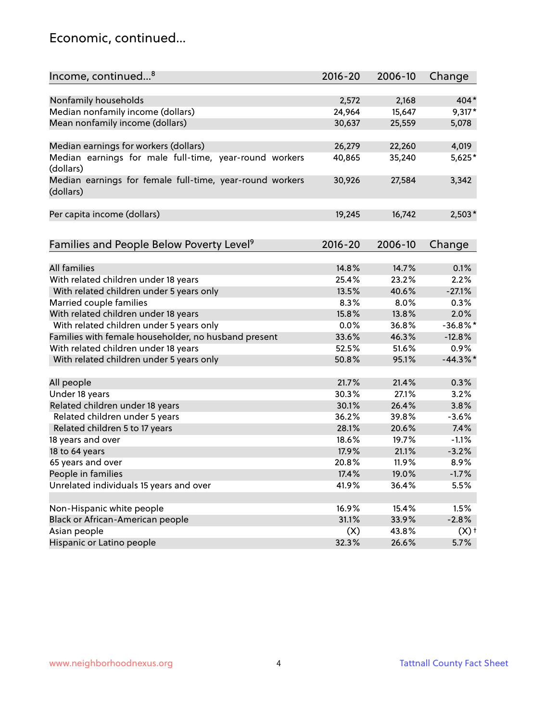#### Economic, continued...

| Income, continued <sup>8</sup>                                        | $2016 - 20$ | 2006-10 | Change             |
|-----------------------------------------------------------------------|-------------|---------|--------------------|
|                                                                       |             |         |                    |
| Nonfamily households                                                  | 2,572       | 2,168   | $404*$             |
| Median nonfamily income (dollars)                                     | 24,964      | 15,647  | $9,317*$           |
| Mean nonfamily income (dollars)                                       | 30,637      | 25,559  | 5,078              |
| Median earnings for workers (dollars)                                 | 26,279      | 22,260  | 4,019              |
| Median earnings for male full-time, year-round workers                | 40,865      | 35,240  | 5,625*             |
| (dollars)                                                             |             |         |                    |
| Median earnings for female full-time, year-round workers<br>(dollars) | 30,926      | 27,584  | 3,342              |
| Per capita income (dollars)                                           | 19,245      | 16,742  | $2,503*$           |
|                                                                       |             |         |                    |
| Families and People Below Poverty Level <sup>9</sup>                  | $2016 - 20$ | 2006-10 | Change             |
|                                                                       |             |         |                    |
| All families                                                          | 14.8%       | 14.7%   | 0.1%               |
| With related children under 18 years                                  | 25.4%       | 23.2%   | 2.2%               |
| With related children under 5 years only                              | 13.5%       | 40.6%   | $-27.1%$           |
| Married couple families                                               | 8.3%        | 8.0%    | 0.3%               |
| With related children under 18 years                                  | 15.8%       | 13.8%   | 2.0%               |
| With related children under 5 years only                              | 0.0%        | 36.8%   | $-36.8%$ *         |
| Families with female householder, no husband present                  | 33.6%       | 46.3%   | $-12.8%$           |
| With related children under 18 years                                  | 52.5%       | 51.6%   | 0.9%               |
| With related children under 5 years only                              | 50.8%       | 95.1%   | $-44.3\%$ *        |
| All people                                                            | 21.7%       | 21.4%   | 0.3%               |
| Under 18 years                                                        | 30.3%       | 27.1%   | 3.2%               |
| Related children under 18 years                                       | 30.1%       | 26.4%   | 3.8%               |
| Related children under 5 years                                        | 36.2%       | 39.8%   | $-3.6%$            |
| Related children 5 to 17 years                                        | 28.1%       | 20.6%   | 7.4%               |
| 18 years and over                                                     | 18.6%       | 19.7%   | $-1.1%$            |
| 18 to 64 years                                                        | 17.9%       | 21.1%   | $-3.2%$            |
| 65 years and over                                                     | 20.8%       | 11.9%   | 8.9%               |
| People in families                                                    | 17.4%       | 19.0%   | $-1.7%$            |
| Unrelated individuals 15 years and over                               | 41.9%       | 36.4%   | 5.5%               |
|                                                                       |             |         |                    |
| Non-Hispanic white people                                             | 16.9%       | 15.4%   | 1.5%               |
| Black or African-American people                                      | 31.1%       | 33.9%   | $-2.8%$            |
| Asian people                                                          | (X)         | 43.8%   | $(X)$ <sup>+</sup> |
| Hispanic or Latino people                                             | 32.3%       | 26.6%   | 5.7%               |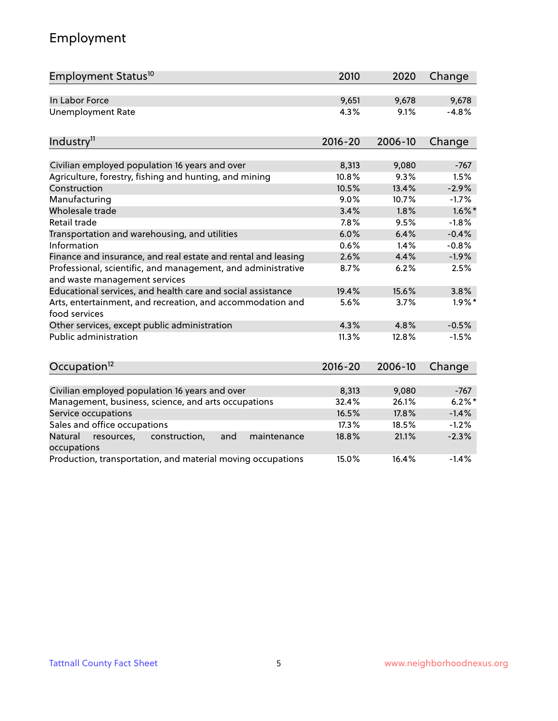### Employment

| Employment Status <sup>10</sup>                                                               | 2010        | 2020    | Change    |
|-----------------------------------------------------------------------------------------------|-------------|---------|-----------|
| In Labor Force                                                                                | 9,651       | 9,678   | 9,678     |
| <b>Unemployment Rate</b>                                                                      | 4.3%        | 9.1%    | $-4.8%$   |
| Industry <sup>11</sup>                                                                        | $2016 - 20$ | 2006-10 | Change    |
|                                                                                               |             |         |           |
| Civilian employed population 16 years and over                                                | 8,313       | 9,080   | $-767$    |
| Agriculture, forestry, fishing and hunting, and mining                                        | 10.8%       | 9.3%    | 1.5%      |
| Construction                                                                                  | 10.5%       | 13.4%   | $-2.9%$   |
| Manufacturing                                                                                 | 9.0%        | 10.7%   | $-1.7%$   |
| Wholesale trade                                                                               | 3.4%        | 1.8%    | $1.6\%$ * |
| Retail trade                                                                                  | 7.8%        | 9.5%    | $-1.8%$   |
| Transportation and warehousing, and utilities                                                 | 6.0%        | 6.4%    | $-0.4%$   |
| Information                                                                                   | 0.6%        | 1.4%    | $-0.8%$   |
| Finance and insurance, and real estate and rental and leasing                                 | 2.6%        | 4.4%    | $-1.9%$   |
| Professional, scientific, and management, and administrative<br>and waste management services | 8.7%        | 6.2%    | 2.5%      |
| Educational services, and health care and social assistance                                   | 19.4%       | 15.6%   | 3.8%      |
| Arts, entertainment, and recreation, and accommodation and<br>food services                   | 5.6%        | 3.7%    | $1.9\%$ * |
| Other services, except public administration                                                  | 4.3%        | 4.8%    | $-0.5%$   |
| <b>Public administration</b>                                                                  | 11.3%       | 12.8%   | $-1.5%$   |
| Occupation <sup>12</sup>                                                                      | $2016 - 20$ | 2006-10 | Change    |
|                                                                                               |             |         |           |
| Civilian employed population 16 years and over                                                | 8,313       | 9,080   | $-767$    |
| Management, business, science, and arts occupations                                           | 32.4%       | 26.1%   | 6.2%      |
| Service occupations                                                                           | 16.5%       | 17.8%   | $-1.4%$   |
| Sales and office occupations                                                                  | 17.3%       | 18.5%   | $-1.2%$   |
| Natural<br>resources,<br>construction,<br>and<br>maintenance<br>occupations                   | 18.8%       | 21.1%   | $-2.3%$   |
| Production, transportation, and material moving occupations                                   | 15.0%       | 16.4%   | $-1.4%$   |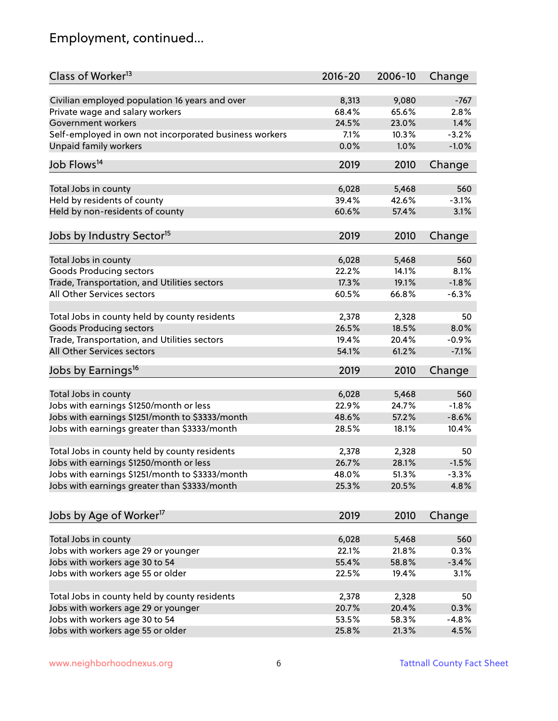### Employment, continued...

| Class of Worker <sup>13</sup>                          | $2016 - 20$ | 2006-10 | Change   |
|--------------------------------------------------------|-------------|---------|----------|
| Civilian employed population 16 years and over         | 8,313       | 9,080   | $-767$   |
| Private wage and salary workers                        | 68.4%       | 65.6%   | 2.8%     |
| Government workers                                     | 24.5%       | 23.0%   | 1.4%     |
| Self-employed in own not incorporated business workers | 7.1%        | 10.3%   | $-3.2%$  |
| Unpaid family workers                                  | 0.0%        | 1.0%    | $-1.0%$  |
|                                                        |             |         |          |
| Job Flows <sup>14</sup>                                | 2019        | 2010    | Change   |
| Total Jobs in county                                   | 6,028       | 5,468   | 560      |
| Held by residents of county                            | 39.4%       | 42.6%   | $-3.1%$  |
| Held by non-residents of county                        | 60.6%       | 57.4%   | 3.1%     |
|                                                        |             |         |          |
| Jobs by Industry Sector <sup>15</sup>                  | 2019        | 2010    | Change   |
| Total Jobs in county                                   | 6,028       | 5,468   | 560      |
| Goods Producing sectors                                | 22.2%       | 14.1%   | 8.1%     |
| Trade, Transportation, and Utilities sectors           | 17.3%       | 19.1%   | $-1.8%$  |
| All Other Services sectors                             | 60.5%       | 66.8%   | $-6.3%$  |
|                                                        |             |         |          |
| Total Jobs in county held by county residents          | 2,378       | 2,328   | 50       |
| <b>Goods Producing sectors</b>                         | 26.5%       | 18.5%   | 8.0%     |
| Trade, Transportation, and Utilities sectors           | 19.4%       | 20.4%   | $-0.9%$  |
| All Other Services sectors                             | 54.1%       | 61.2%   | $-7.1%$  |
| Jobs by Earnings <sup>16</sup>                         | 2019        | 2010    | Change   |
|                                                        |             |         |          |
| Total Jobs in county                                   | 6,028       | 5,468   | 560      |
| Jobs with earnings \$1250/month or less                | 22.9%       | 24.7%   | $-1.8%$  |
| Jobs with earnings \$1251/month to \$3333/month        | 48.6%       | 57.2%   | $-8.6%$  |
| Jobs with earnings greater than \$3333/month           | 28.5%       | 18.1%   | 10.4%    |
| Total Jobs in county held by county residents          | 2,378       | 2,328   | 50       |
| Jobs with earnings \$1250/month or less                | 26.7%       | 28.1%   | $-1.5%$  |
| Jobs with earnings \$1251/month to \$3333/month        | 48.0%       | 51.3%   | $-3.3\%$ |
| Jobs with earnings greater than \$3333/month           | 25.3%       | 20.5%   | 4.8%     |
|                                                        |             |         |          |
| Jobs by Age of Worker <sup>17</sup>                    | 2019        | 2010    | Change   |
|                                                        |             |         |          |
| Total Jobs in county                                   | 6,028       | 5,468   | 560      |
| Jobs with workers age 29 or younger                    | 22.1%       | 21.8%   | 0.3%     |
| Jobs with workers age 30 to 54                         | 55.4%       | 58.8%   | $-3.4%$  |
| Jobs with workers age 55 or older                      | 22.5%       | 19.4%   | 3.1%     |
| Total Jobs in county held by county residents          | 2,378       | 2,328   | 50       |
| Jobs with workers age 29 or younger                    | 20.7%       | 20.4%   | 0.3%     |
| Jobs with workers age 30 to 54                         | 53.5%       | 58.3%   | $-4.8%$  |
| Jobs with workers age 55 or older                      | 25.8%       | 21.3%   | 4.5%     |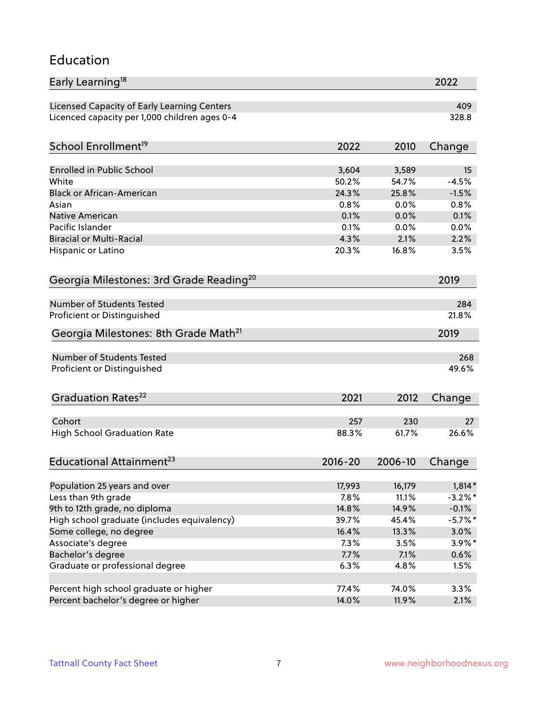#### Education

| Early Learning <sup>18</sup>                        |              |              | 2022            |
|-----------------------------------------------------|--------------|--------------|-----------------|
| Licensed Capacity of Early Learning Centers         |              |              | 409             |
| Licenced capacity per 1,000 children ages 0-4       |              |              | 328.8           |
| School Enrollment <sup>19</sup>                     | 2022         | 2010         | Change          |
|                                                     |              |              |                 |
| <b>Enrolled in Public School</b>                    | 3,604        | 3,589        | 15              |
| White<br><b>Black or African-American</b>           | 50.2%        | 54.7%        | $-4.5%$         |
|                                                     | 24.3%        | 25.8%        | $-1.5%$<br>0.8% |
| Asian                                               | 0.8%         | 0.0%         |                 |
| <b>Native American</b><br>Pacific Islander          | 0.1%<br>0.1% | 0.0%         | 0.1%            |
| <b>Biracial or Multi-Racial</b>                     | 4.3%         | 0.0%<br>2.1% | 0.0%<br>2.2%    |
|                                                     |              |              |                 |
| Hispanic or Latino                                  | 20.3%        | 16.8%        | 3.5%            |
| Georgia Milestones: 3rd Grade Reading <sup>20</sup> |              |              | 2019            |
| <b>Number of Students Tested</b>                    |              |              | 284             |
| Proficient or Distinguished                         |              |              | 21.8%           |
| Georgia Milestones: 8th Grade Math <sup>21</sup>    |              |              | 2019            |
| Number of Students Tested                           |              |              | 268             |
| Proficient or Distinguished                         |              |              | 49.6%           |
|                                                     |              |              |                 |
| Graduation Rates <sup>22</sup>                      | 2021         | 2012         | Change          |
| Cohort                                              | 257          | 230          | 27              |
| <b>High School Graduation Rate</b>                  | 88.3%        | 61.7%        | 26.6%           |
| Educational Attainment <sup>23</sup>                | $2016 - 20$  | 2006-10      | Change          |
|                                                     |              |              |                 |
| Population 25 years and over                        | 17,993       | 16,179       | $1,814*$        |
| Less than 9th grade                                 | 7.8%         | 11.1%        | $-3.2\%$ *      |
| 9th to 12th grade, no diploma                       | 14.8%        | 14.9%        | $-0.1%$         |
| High school graduate (includes equivalency)         | 39.7%        | 45.4%        | $-5.7\%$ *      |
| Some college, no degree                             | 16.4%        | 13.3%        | 3.0%            |
| Associate's degree                                  | 7.3%         | 3.5%         | $3.9\%*$        |
| Bachelor's degree                                   | 7.7%         | 7.1%         | $0.6\%$         |
| Graduate or professional degree                     | 6.3%         | 4.8%         | 1.5%            |
|                                                     |              |              |                 |
| Percent high school graduate or higher              | 77.4%        | 74.0%        | 3.3%            |
| Percent bachelor's degree or higher                 | 14.0%        | 11.9%        | 2.1%            |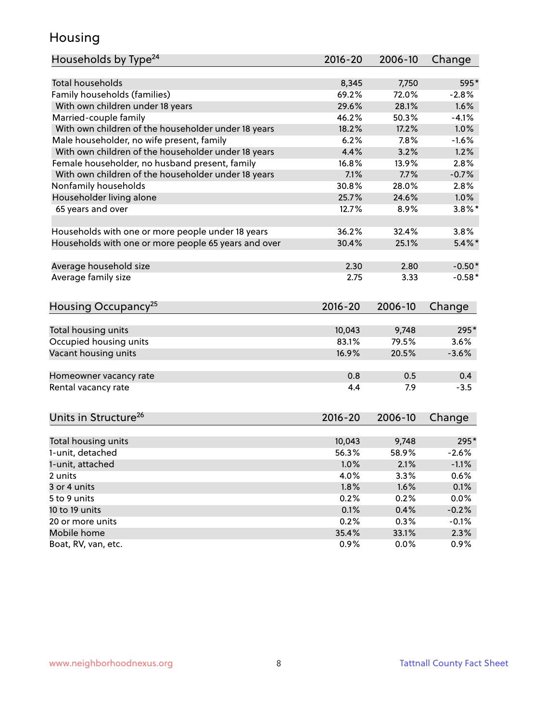#### Housing

| Households by Type <sup>24</sup>                     | 2016-20         | 2006-10        | Change       |
|------------------------------------------------------|-----------------|----------------|--------------|
|                                                      |                 |                |              |
| Total households                                     | 8,345           | 7,750          | 595*         |
| Family households (families)                         | 69.2%           | 72.0%          | $-2.8%$      |
| With own children under 18 years                     | 29.6%           | 28.1%          | 1.6%         |
| Married-couple family                                | 46.2%           | 50.3%          | $-4.1%$      |
| With own children of the householder under 18 years  | 18.2%           | 17.2%          | 1.0%         |
| Male householder, no wife present, family            | 6.2%            | 7.8%           | $-1.6%$      |
| With own children of the householder under 18 years  | 4.4%            | 3.2%           | 1.2%         |
| Female householder, no husband present, family       | 16.8%           | 13.9%          | 2.8%         |
| With own children of the householder under 18 years  | 7.1%            | 7.7%           | $-0.7%$      |
| Nonfamily households                                 | 30.8%           | 28.0%          | 2.8%         |
| Householder living alone                             | 25.7%           | 24.6%          | 1.0%         |
| 65 years and over                                    | 12.7%           | 8.9%           | $3.8\%$ *    |
| Households with one or more people under 18 years    | 36.2%           | 32.4%          | 3.8%         |
| Households with one or more people 65 years and over | 30.4%           | 25.1%          | $5.4\%$      |
|                                                      |                 |                |              |
| Average household size                               | 2.30            | 2.80           | $-0.50*$     |
| Average family size                                  | 2.75            | 3.33           | $-0.58*$     |
| Housing Occupancy <sup>25</sup>                      | 2016-20         | 2006-10        | Change       |
|                                                      |                 |                |              |
| Total housing units                                  | 10,043<br>83.1% | 9,748<br>79.5% | 295*<br>3.6% |
| Occupied housing units                               |                 |                |              |
| Vacant housing units                                 | 16.9%           | 20.5%          | $-3.6%$      |
| Homeowner vacancy rate                               | 0.8             | 0.5            | 0.4          |
| Rental vacancy rate                                  | 4.4             | 7.9            | $-3.5$       |
| Units in Structure <sup>26</sup>                     | $2016 - 20$     | 2006-10        | Change       |
| Total housing units                                  | 10,043          | 9,748          | 295*         |
| 1-unit, detached                                     | 56.3%           | 58.9%          | $-2.6%$      |
| 1-unit, attached                                     | 1.0%            | 2.1%           | $-1.1%$      |
| 2 units                                              | 4.0%            | 3.3%           | 0.6%         |
| 3 or 4 units                                         | 1.8%            | 1.6%           | 0.1%         |
| 5 to 9 units                                         | 0.2%            | 0.2%           | 0.0%         |
| 10 to 19 units                                       | 0.1%            | 0.4%           | $-0.2%$      |
| 20 or more units                                     | 0.2%            | 0.3%           | $-0.1%$      |
| Mobile home                                          | 35.4%           | 33.1%          | 2.3%         |
| Boat, RV, van, etc.                                  | 0.9%            | 0.0%           | 0.9%         |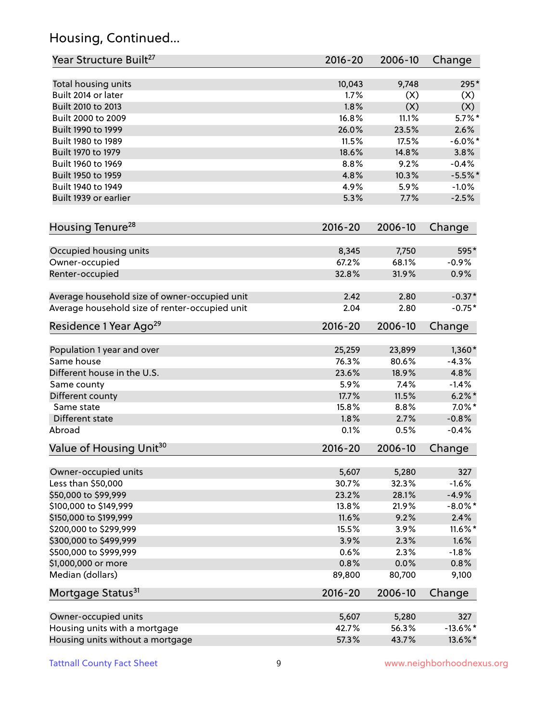### Housing, Continued...

| Year Structure Built <sup>27</sup>             | 2016-20     | 2006-10 | Change      |
|------------------------------------------------|-------------|---------|-------------|
| Total housing units                            | 10,043      | 9,748   | 295*        |
| Built 2014 or later                            | 1.7%        | (X)     | (X)         |
| Built 2010 to 2013                             | 1.8%        | (X)     | (X)         |
| Built 2000 to 2009                             | 16.8%       | 11.1%   | $5.7\%$ *   |
| Built 1990 to 1999                             | 26.0%       | 23.5%   | 2.6%        |
| Built 1980 to 1989                             | 11.5%       | 17.5%   | $-6.0\%$ *  |
| Built 1970 to 1979                             | 18.6%       | 14.8%   | 3.8%        |
| Built 1960 to 1969                             | 8.8%        | 9.2%    | $-0.4%$     |
| Built 1950 to 1959                             | 4.8%        | 10.3%   | $-5.5%$ *   |
| Built 1940 to 1949                             | 4.9%        | 5.9%    | $-1.0%$     |
| Built 1939 or earlier                          | 5.3%        | 7.7%    | $-2.5%$     |
| Housing Tenure <sup>28</sup>                   | 2016-20     | 2006-10 | Change      |
| Occupied housing units                         | 8,345       | 7,750   | 595*        |
| Owner-occupied                                 | 67.2%       | 68.1%   | $-0.9%$     |
| Renter-occupied                                | 32.8%       | 31.9%   | 0.9%        |
| Average household size of owner-occupied unit  | 2.42        | 2.80    | $-0.37*$    |
| Average household size of renter-occupied unit | 2.04        | 2.80    | $-0.75*$    |
| Residence 1 Year Ago <sup>29</sup>             | 2016-20     | 2006-10 | Change      |
| Population 1 year and over                     | 25,259      | 23,899  | $1,360*$    |
| Same house                                     | 76.3%       | 80.6%   | $-4.3%$     |
| Different house in the U.S.                    | 23.6%       | 18.9%   | 4.8%        |
| Same county                                    | 5.9%        | 7.4%    | $-1.4%$     |
| Different county                               | 17.7%       | 11.5%   | $6.2\% *$   |
| Same state                                     | 15.8%       | 8.8%    | $7.0\%$ *   |
| Different state                                | 1.8%        | 2.7%    | $-0.8%$     |
| Abroad                                         | 0.1%        | 0.5%    | $-0.4%$     |
| Value of Housing Unit <sup>30</sup>            | $2016 - 20$ | 2006-10 | Change      |
| Owner-occupied units                           | 5,607       | 5,280   | 327         |
| Less than \$50,000                             | 30.7%       | 32.3%   | $-1.6%$     |
| \$50,000 to \$99,999                           | 23.2%       | 28.1%   | $-4.9%$     |
| \$100,000 to \$149,999                         | 13.8%       | 21.9%   | $-8.0\%$ *  |
| \$150,000 to \$199,999                         | 11.6%       | 9.2%    | 2.4%        |
| \$200,000 to \$299,999                         | 15.5%       | 3.9%    | 11.6%*      |
| \$300,000 to \$499,999                         | 3.9%        | 2.3%    | 1.6%        |
| \$500,000 to \$999,999                         | 0.6%        | 2.3%    | $-1.8%$     |
| \$1,000,000 or more                            | 0.8%        | 0.0%    | 0.8%        |
| Median (dollars)                               | 89,800      | 80,700  | 9,100       |
| Mortgage Status <sup>31</sup>                  | $2016 - 20$ | 2006-10 | Change      |
| Owner-occupied units                           | 5,607       | 5,280   | 327         |
| Housing units with a mortgage                  | 42.7%       | 56.3%   | $-13.6\%$ * |
| Housing units without a mortgage               | 57.3%       | 43.7%   | 13.6%*      |
|                                                |             |         |             |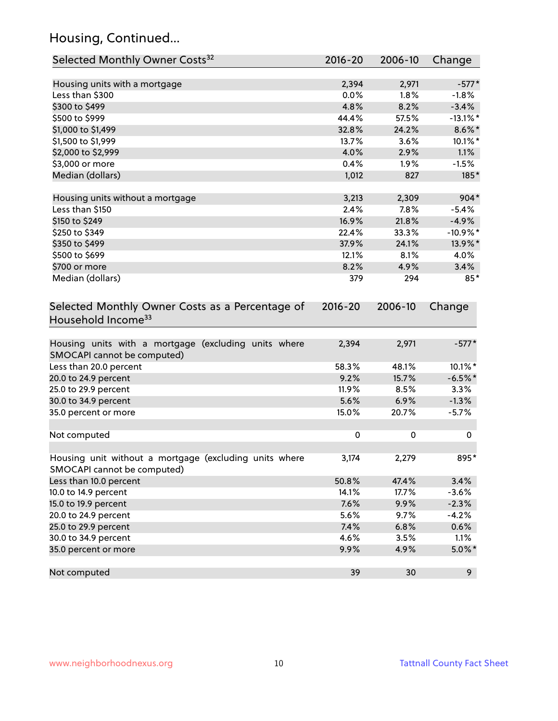### Housing, Continued...

| Selected Monthly Owner Costs <sup>32</sup>                                            | 2016-20     | 2006-10 | Change      |
|---------------------------------------------------------------------------------------|-------------|---------|-------------|
| Housing units with a mortgage                                                         | 2,394       | 2,971   | $-577*$     |
| Less than \$300                                                                       | 0.0%        | 1.8%    | $-1.8%$     |
| \$300 to \$499                                                                        | 4.8%        | 8.2%    | $-3.4%$     |
| \$500 to \$999                                                                        | 44.4%       | 57.5%   | $-13.1\%$ * |
| \$1,000 to \$1,499                                                                    | 32.8%       | 24.2%   | $8.6\%$ *   |
| \$1,500 to \$1,999                                                                    | 13.7%       | 3.6%    | 10.1%*      |
| \$2,000 to \$2,999                                                                    | 4.0%        | 2.9%    | 1.1%        |
| \$3,000 or more                                                                       | 0.4%        | 1.9%    | $-1.5%$     |
| Median (dollars)                                                                      | 1,012       | 827     | 185*        |
| Housing units without a mortgage                                                      | 3,213       | 2,309   | 904*        |
| Less than \$150                                                                       | 2.4%        | 7.8%    | $-5.4%$     |
| \$150 to \$249                                                                        | 16.9%       | 21.8%   | $-4.9%$     |
| \$250 to \$349                                                                        | 22.4%       | 33.3%   | $-10.9\%$ * |
| \$350 to \$499                                                                        | 37.9%       | 24.1%   | 13.9%*      |
| \$500 to \$699                                                                        | 12.1%       | 8.1%    | 4.0%        |
| \$700 or more                                                                         | 8.2%        | 4.9%    | 3.4%        |
| Median (dollars)                                                                      | 379         | 294     | 85*         |
| Selected Monthly Owner Costs as a Percentage of<br>Household Income <sup>33</sup>     | $2016 - 20$ | 2006-10 | Change      |
| Housing units with a mortgage (excluding units where<br>SMOCAPI cannot be computed)   | 2,394       | 2,971   | $-577*$     |
| Less than 20.0 percent                                                                | 58.3%       | 48.1%   | 10.1%*      |
| 20.0 to 24.9 percent                                                                  | 9.2%        | 15.7%   | $-6.5%$ *   |
| 25.0 to 29.9 percent                                                                  | 11.9%       | 8.5%    | 3.3%        |
| 30.0 to 34.9 percent                                                                  | 5.6%        | 6.9%    | $-1.3%$     |
| 35.0 percent or more                                                                  | 15.0%       | 20.7%   | $-5.7%$     |
| Not computed                                                                          | $\mathbf 0$ | 0       | 0           |
| Housing unit without a mortgage (excluding units where<br>SMOCAPI cannot be computed) | 3,174       | 2,279   | 895*        |
| Less than 10.0 percent                                                                | 50.8%       | 47.4%   | 3.4%        |
| 10.0 to 14.9 percent                                                                  | 14.1%       | 17.7%   | $-3.6%$     |
| 15.0 to 19.9 percent                                                                  | 7.6%        | 9.9%    | $-2.3%$     |
| 20.0 to 24.9 percent                                                                  | 5.6%        | 9.7%    | $-4.2%$     |
| 25.0 to 29.9 percent                                                                  | 7.4%        | 6.8%    | 0.6%        |
| 30.0 to 34.9 percent                                                                  | 4.6%        | 3.5%    | 1.1%        |
| 35.0 percent or more                                                                  | 9.9%        | 4.9%    | $5.0\%$ *   |
| Not computed                                                                          | 39          | 30      | 9           |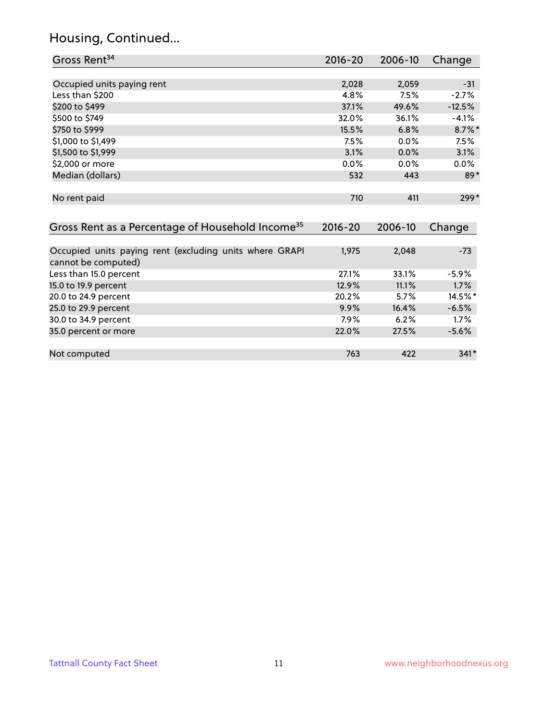### Housing, Continued...

| Gross Rent <sup>34</sup>                                                       | 2016-20     | 2006-10 | Change    |
|--------------------------------------------------------------------------------|-------------|---------|-----------|
|                                                                                |             |         |           |
| Occupied units paying rent                                                     | 2,028       | 2,059   | $-31$     |
| Less than \$200                                                                | 4.8%        | 7.5%    | $-2.7%$   |
| \$200 to \$499                                                                 | 37.1%       | 49.6%   | $-12.5%$  |
| \$500 to \$749                                                                 | 32.0%       | 36.1%   | $-4.1%$   |
| \$750 to \$999                                                                 | 15.5%       | 6.8%    | $8.7\%$ * |
| \$1,000 to \$1,499                                                             | 7.5%        | 0.0%    | 7.5%      |
| \$1,500 to \$1,999                                                             | 3.1%        | 0.0%    | 3.1%      |
| \$2,000 or more                                                                | 0.0%        | 0.0%    | $0.0\%$   |
| Median (dollars)                                                               | 532         | 443     | $89*$     |
| No rent paid                                                                   | 710         | 411     | $299*$    |
| Gross Rent as a Percentage of Household Income <sup>35</sup>                   | $2016 - 20$ | 2006-10 | Change    |
|                                                                                |             |         |           |
| Occupied units paying rent (excluding units where GRAPI<br>cannot be computed) | 1,975       | 2,048   | $-73$     |
| Less than 15.0 percent                                                         | 27.1%       | 33.1%   | $-5.9%$   |
| 15.0 to 19.9 percent                                                           | 12.9%       | 11.1%   | 1.7%      |
| 20.0 to 24.9 percent                                                           | 20.2%       | 5.7%    | 14.5%*    |
| 25.0 to 29.9 percent                                                           | 9.9%        | 16.4%   | $-6.5%$   |
| 30.0 to 34.9 percent                                                           | 7.9%        | 6.2%    | 1.7%      |
| 35.0 percent or more                                                           | 22.0%       | 27.5%   | $-5.6%$   |
| Not computed                                                                   | 763         | 422     | $341*$    |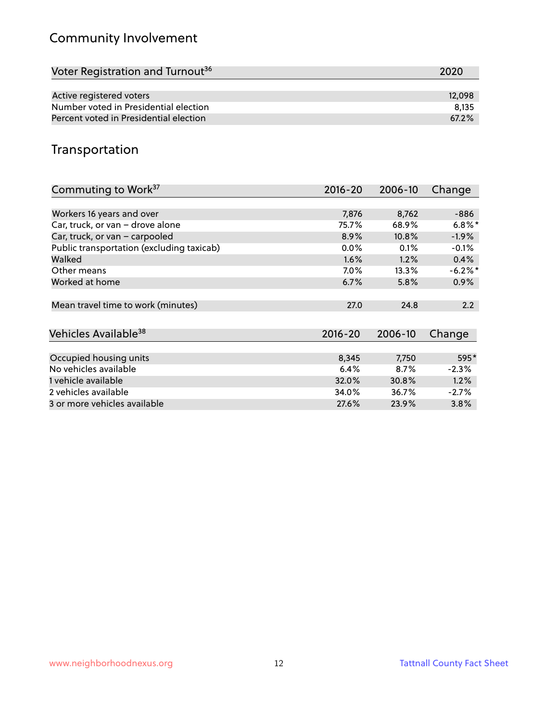### Community Involvement

| Voter Registration and Turnout <sup>36</sup> | 2020   |
|----------------------------------------------|--------|
|                                              |        |
| Active registered voters                     | 12,098 |
| Number voted in Presidential election        | 8.135  |
| Percent voted in Presidential election       | 67.2%  |

#### Transportation

| Commuting to Work <sup>37</sup>           | 2016-20     | 2006-10 | Change    |
|-------------------------------------------|-------------|---------|-----------|
|                                           |             |         |           |
| Workers 16 years and over                 | 7,876       | 8,762   | -886      |
| Car, truck, or van - drove alone          | 75.7%       | 68.9%   | $6.8\%$ * |
| Car, truck, or van - carpooled            | 8.9%        | 10.8%   | $-1.9\%$  |
| Public transportation (excluding taxicab) | $0.0\%$     | $0.1\%$ | $-0.1%$   |
| Walked                                    | 1.6%        | 1.2%    | 0.4%      |
| Other means                               | $7.0\%$     | 13.3%   | $-6.2%$ * |
| Worked at home                            | 6.7%        | 5.8%    | $0.9\%$   |
|                                           |             |         |           |
| Mean travel time to work (minutes)        | 27.0        | 24.8    | 2.2       |
|                                           |             |         |           |
| Vehicles Available <sup>38</sup>          | $2016 - 20$ | 2006-10 | Change    |
|                                           |             |         |           |
| Occupied housing units                    | 8,345       | 7,750   | 595*      |
| No vehicles available                     | 6.4%        | 8.7%    | $-2.3%$   |
| 1 vehicle available                       | 32.0%       | 30.8%   | 1.2%      |
| 2 vehicles available                      | 34.0%       | 36.7%   | $-2.7%$   |
| 3 or more vehicles available              | 27.6%       | 23.9%   | 3.8%      |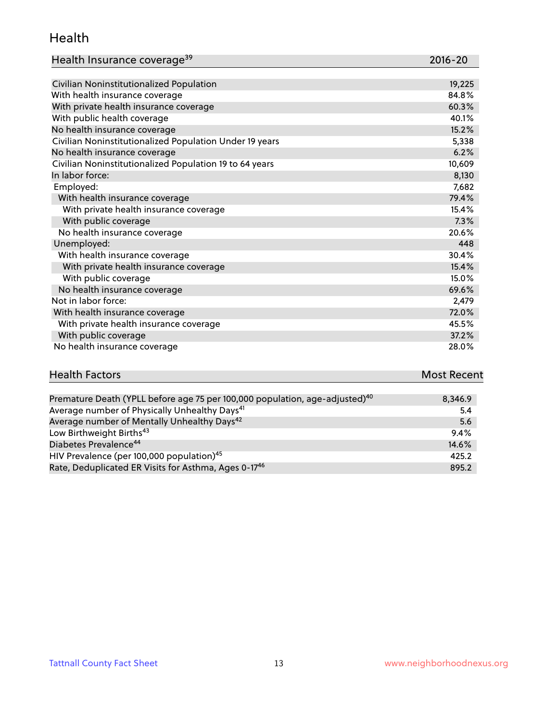#### Health

| Health Insurance coverage <sup>39</sup> | 2016-20 |
|-----------------------------------------|---------|
|-----------------------------------------|---------|

| Civilian Noninstitutionalized Population                | 19,225 |
|---------------------------------------------------------|--------|
| With health insurance coverage                          | 84.8%  |
| With private health insurance coverage                  | 60.3%  |
| With public health coverage                             | 40.1%  |
| No health insurance coverage                            | 15.2%  |
| Civilian Noninstitutionalized Population Under 19 years | 5,338  |
| No health insurance coverage                            | 6.2%   |
| Civilian Noninstitutionalized Population 19 to 64 years | 10,609 |
| In labor force:                                         | 8,130  |
| Employed:                                               | 7,682  |
| With health insurance coverage                          | 79.4%  |
| With private health insurance coverage                  | 15.4%  |
| With public coverage                                    | 7.3%   |
| No health insurance coverage                            | 20.6%  |
| Unemployed:                                             | 448    |
| With health insurance coverage                          | 30.4%  |
| With private health insurance coverage                  | 15.4%  |
| With public coverage                                    | 15.0%  |
| No health insurance coverage                            | 69.6%  |
| Not in labor force:                                     | 2,479  |
| With health insurance coverage                          | 72.0%  |
| With private health insurance coverage                  | 45.5%  |
| With public coverage                                    | 37.2%  |
| No health insurance coverage                            | 28.0%  |

# **Health Factors Most Recent** And The Control of the Control of The Control of The Control of The Control of The Control of The Control of The Control of The Control of The Control of The Control of The Control of The Contr

| Premature Death (YPLL before age 75 per 100,000 population, age-adjusted) <sup>40</sup> | 8,346.9 |
|-----------------------------------------------------------------------------------------|---------|
| Average number of Physically Unhealthy Days <sup>41</sup>                               | 5.4     |
| Average number of Mentally Unhealthy Days <sup>42</sup>                                 | 5.6     |
| Low Birthweight Births <sup>43</sup>                                                    | 9.4%    |
| Diabetes Prevalence <sup>44</sup>                                                       | 14.6%   |
| HIV Prevalence (per 100,000 population) <sup>45</sup>                                   | 425.2   |
| Rate, Deduplicated ER Visits for Asthma, Ages 0-17 <sup>46</sup>                        | 895.2   |